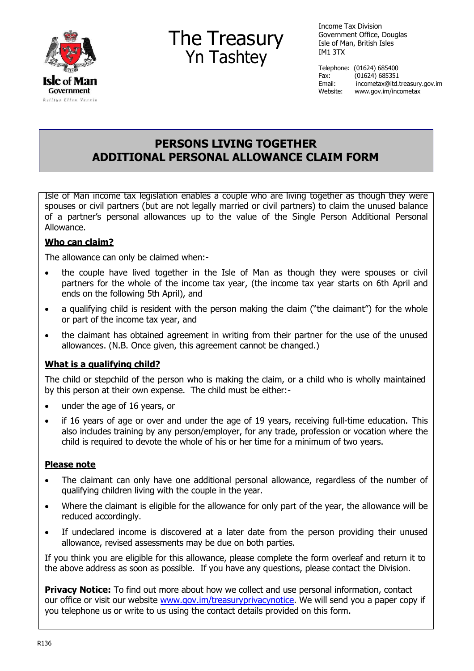

# The Treasury Yn Tashtey

Income Tax Division Government Office, Douglas Isle of Man, British Isles IM1 3TX

Telephone: (01624) 685400 Fax: (01624) 685351 Email: [incometax@itd.treasury.gov.im](mailto:incometax@itd.treasury.gov.im) Website: [www.gov.im/incometax](http://www.gov.im/incometax)

## **PERSONS LIVING TOGETHER ADDITIONAL PERSONAL ALLOWANCE CLAIM FORM**

Isle of Man income tax legislation enables a couple who are living together as though they were spouses or civil partners (but are not legally married or civil partners) to claim the unused balance of a partner's personal allowances up to the value of the Single Person Additional Personal Allowance.

### **Who can claim?**

The allowance can only be claimed when:-

- the couple have lived together in the Isle of Man as though they were spouses or civil partners for the whole of the income tax year, (the income tax year starts on 6th April and ends on the following 5th April), and
- a qualifying child is resident with the person making the claim ("the claimant") for the whole or part of the income tax year, and
- the claimant has obtained agreement in writing from their partner for the use of the unused allowances. (N.B. Once given, this agreement cannot be changed.)

### **What is a qualifying child?**

The child or stepchild of the person who is making the claim, or a child who is wholly maintained by this person at their own expense. The child must be either:-

- under the age of 16 years, or
- if 16 years of age or over and under the age of 19 years, receiving full-time education. This also includes training by any person/employer, for any trade, profession or vocation where the child is required to devote the whole of his or her time for a minimum of two years.

#### **Please note**

- The claimant can only have one additional personal allowance, regardless of the number of qualifying children living with the couple in the year.
- Where the claimant is eligible for the allowance for only part of the year, the allowance will be reduced accordingly.
- If undeclared income is discovered at a later date from the person providing their unused allowance, revised assessments may be due on both parties.

If you think you are eligible for this allowance, please complete the form overleaf and return it to the above address as soon as possible. If you have any questions, please contact the Division.

**Privacy Notice:** To find out more about how we collect and use personal information, contact our office or visit our website [www.gov.im/treasuryprivacynotice.](http://www.gov.im/treasuryprivacynotice) We will send you a paper copy if you telephone us or write to us using the contact details provided on this form.